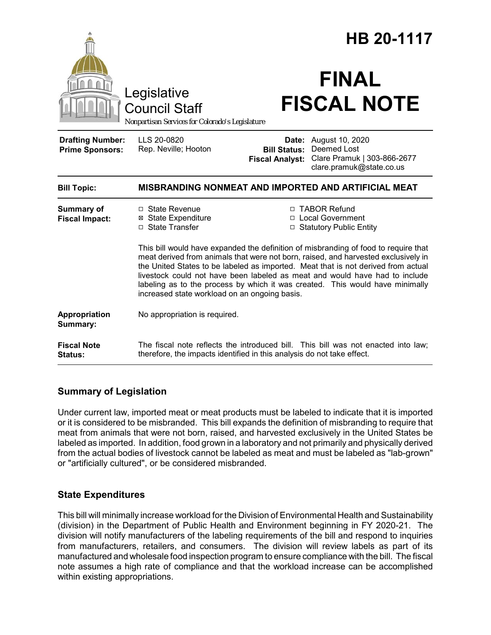|                                                   |                                                                                                                                                                                                                                                                                                                                                                                                                                                                                 | HB 20-1117                                                                                                                                                  |  |
|---------------------------------------------------|---------------------------------------------------------------------------------------------------------------------------------------------------------------------------------------------------------------------------------------------------------------------------------------------------------------------------------------------------------------------------------------------------------------------------------------------------------------------------------|-------------------------------------------------------------------------------------------------------------------------------------------------------------|--|
|                                                   | Legislative<br><b>Council Staff</b><br>Nonpartisan Services for Colorado's Legislature                                                                                                                                                                                                                                                                                                                                                                                          | <b>FINAL</b><br><b>FISCAL NOTE</b>                                                                                                                          |  |
| <b>Drafting Number:</b><br><b>Prime Sponsors:</b> | LLS 20-0820<br>Rep. Neville; Hooton                                                                                                                                                                                                                                                                                                                                                                                                                                             | <b>Date:</b> August 10, 2020<br>Deemed Lost<br><b>Bill Status:</b><br>Clare Pramuk   303-866-2677<br><b>Fiscal Analyst:</b><br>clare.pramuk@state.co.us     |  |
| <b>Bill Topic:</b>                                |                                                                                                                                                                                                                                                                                                                                                                                                                                                                                 | MISBRANDING NONMEAT AND IMPORTED AND ARTIFICIAL MEAT                                                                                                        |  |
| <b>Summary of</b><br><b>Fiscal Impact:</b>        | □ State Revenue<br><b>⊠</b> State Expenditure<br>□ State Transfer                                                                                                                                                                                                                                                                                                                                                                                                               | □ TABOR Refund<br>□ Local Government<br>□ Statutory Public Entity                                                                                           |  |
|                                                   | This bill would have expanded the definition of misbranding of food to require that<br>meat derived from animals that were not born, raised, and harvested exclusively in<br>the United States to be labeled as imported. Meat that is not derived from actual<br>livestock could not have been labeled as meat and would have had to include<br>labeling as to the process by which it was created. This would have minimally<br>increased state workload on an ongoing basis. |                                                                                                                                                             |  |
| Appropriation<br>Summary:                         | No appropriation is required.                                                                                                                                                                                                                                                                                                                                                                                                                                                   |                                                                                                                                                             |  |
| <b>Fiscal Note</b><br>Status:                     |                                                                                                                                                                                                                                                                                                                                                                                                                                                                                 | The fiscal note reflects the introduced bill. This bill was not enacted into law;<br>therefore, the impacts identified in this analysis do not take effect. |  |

#### **Summary of Legislation**

Under current law, imported meat or meat products must be labeled to indicate that it is imported or it is considered to be misbranded. This bill expands the definition of misbranding to require that meat from animals that were not born, raised, and harvested exclusively in the United States be labeled as imported. In addition, food grown in a laboratory and not primarily and physically derived from the actual bodies of livestock cannot be labeled as meat and must be labeled as "lab-grown" or "artificially cultured", or be considered misbranded.

## **State Expenditures**

This bill will minimally increase workload for the Division of Environmental Health and Sustainability (division) in the Department of Public Health and Environment beginning in FY 2020-21. The division will notify manufacturers of the labeling requirements of the bill and respond to inquiries from manufacturers, retailers, and consumers. The division will review labels as part of its manufactured and wholesale food inspection program to ensure compliance with the bill. The fiscal note assumes a high rate of compliance and that the workload increase can be accomplished within existing appropriations.